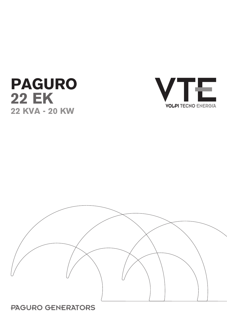





**PAGURO GENERATORS**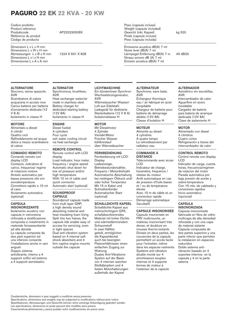# **PAGURO 22 EK 22 KVA - 20 KW**

Codice prodotto Product reference Produktcode Référence du produit Código de producto

Dimensioni L x L x H mm Dimensions L x W x H mm Abmessungen L x B x H mm Dimensions L x l x H mm Dimensiones L x A x A mm

## AP22523050EK

1224 X 631 X 828

## ALTERNATORE

Sincrono, senza spazzole, AVR Scambiatore di calore acqua/aria in acciaio inox Carica batterie per batteria d'avviamento dedicata (12  $V$   $B$   $A$  $)$ Isolamento in classe H

## **MOTORE**

Alimentato a diesel 4 cilindri Quattro cicli Raffreddamento ad acqua dolce a mezzo scambiatore di calore

## COMANDO REMOTO

Comando remoto con display LCD Contaore, indicatore di carico, frequenza/ regime di rotazione motore Arresto automatico per bassa pressione olio e/o sovratemperatura Connettore rapido e 15 mt di cavo Avviamento automatico (optional)

## CAPSULA INSONORIZZANTE

Isolamento acustico con capsula in vetroresina rinforzata a stratificazione composita e rivestimento in materiale fonoassorbente ad alta densità La capsula composta da due parti superiori ed una inferiore consente l'installazione anche in vani angusti Doppio sistema antivibrante, interno a 4 supporti soffici ed esterno

a 4 supporti semielastici

#### ALTERNATOR

Synchronous, brushless, AVR Heat exchanger water/air made in stainless steel Battery charger for dedicated starting battery (12V 8A) Isolamento in classe H

## ENGINE

Diesel fueled 4 cylinders Four cycle esh water cooling circuit via heat exchanger

## REMOTE CONTROL

Remote control with LCD display Load indicator, hour meter, frequency / engine speed Automatic shut down for low oil pressure and/or high temperature With 15 mt of cable and quick connector Automatic start (optional)

#### **SOUNDPROOF** CAPSULE

Soundproof capsule made from multi layer GRP, a high density sound absorbing material and heat insulating foam lining Split into two halves, the capsule lids enable easy of access for servicing, even in tight spaces Dual anti-vibration system based on 4 internal soft shock absorbers and 4 firm captive engine mounts outside the capsule

#### **LICHTMASCHINE**

Ein bürstenloser Synchron-Wechselstromgenerator, AVR Wärmetauscher Wasser/ Luft aus Edelstahl Ladegerät für dedizierte Starterbatterie (12 V 8 A) Isolationsklasse H

#### **MOTOR**

Mit Dieselmotor 4 Zylinder Viertakt-Motor Frischer Wasser kühlkreislauf über Wärmetäuscher

#### **FERNBEDIENUNG**

Fernbedienung mit LCD-**Display** Ladeanzeige, Betriebsstundenzähler, Frequenz / Motordrehzahl Automatische Abschaltung bei niedrigem Öldruck und/ oder hoher Temperatur Mit 15 m Kabel und **Schnellverbinder** Automatischer Start (optional)

#### SCHALLDICHTE KAPSEL

Schalldichte Kapsel aus mehrschichtigem GFK, schallabsorbierendes Material mit hoher Dichte und wärmedämmendem **Schaumstoff** In zwei Hälften geteilt, ermöglichen die Kapseldeckel auch bei beengten Platzverhältnissen einen einfachen Zugang zur Wartung Duales Anti-Vibrations-System auf der Basis von 4 internen weichen Stoßdämpfern und 4 festen Motorhalterungen außerhalb der Kapsel

Peso (capsula inclusa) Weight (capsule included) Gewicht (inkl. Kapsel) Poids (capsule incluse) Peso (cápsula incluida)

Emissione acustica dB(A) 7 mt Noise level dB(A) 7 mt Lärmpegel Entfernung dB(A) 7 m Niveau sonore dB (A) 7 mt Emisión acústica dB(A) 7 mt

> ALTERNATEUR Synchrone, sans balai,

Échangeur thermique eau / air fabriqué en acier

Chargeur de batterie pour batterie de démarrage dédiée (12V 8A) Classe d'isolation H

Télécommande avec écran

Avec 15 m de câble et un connecteur rapide Démarrage automatique

CAPSULE INSONORISÉE Capsule insonorisée en PRV multicouche, un matériau insonorisant très dense, et doublure en mousse thermo-isolante Divisés en deux parties, les couvercles de la capsule permettent un accès facile pour l'entretien, même dans les espaces restreints Système anti-vibration double monté sur 4 amortisseurs souples internes et 4 supports fermes de moteur à l'extérieur de la capsule

Indicateur de charge, horamètre, fréquence / vitesse du moteur Arrêt automatique en cas de pression d'huile basse et / ou de température

AVR

inoxydable

MOTEUR Alimenté au diesel 4 cylindres À quatre temps Le refroidissement par radiateur eau COMMANDE À **DISTANCE** 

LCD

élevée

(facultatif)

kg 520

49 dB(A)

## **ALTERNADOR**

Asimétrico sin escobillas, AVR Intercambiador de calor Agua/Aire en acero inoxidable Cargador de batería para batería de arranque dedicada (12V 8A) Clase de aislamiento H j

## **MOTOR**

Alimentado con diesel 4 cilindros Cuatro ciclos Refrigeración a traves del intercambiador de calor

#### CONTROL REMOTO

Control remote con display LCD Indicador de carga, cuenta horas, frecuencia/regimen de rotacion del motor Parada automática por baja presión de aceite y sobre-temperatura

Con 15 mts. de cableado y conectores rapidos Inicio automático (opcional)

## CAPSULA INSONORIZADA

Capsula insonorizada fabricada en fibra de vidrio multicapa de alta densidad reforzada y con una capa de material aislante Capsula compuesta de dos partes superiors y una parte inferior que permiten la instalacion en espacios reducidos Doble sistema antivibración basado en 4 soportes internos en la capsula y 4 en la parte externa

Caratteristiche, dimensioni e pesi soggetti a modifiche senza preavviso

Specifications, dimensions and weights may be subjected to modifications without prior notice Spezifikationen, Abmessungen und Gewichte können ohne vorherige Ankündigung geändert werden Les spécifications, dimensions et poids peuvent être modifiés sans préavis

Caracteristicas,dimensiones y pesos pueden sufrir modificaciones sin previo aviso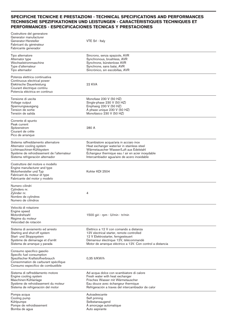# **SPECIFICHE TECNICHE E PRESTAZIONI - TECHNICAL SPECIFICATIONS AND PERFORMANCES TECHNISCHE SPEZIFIKATIONEN UND LEISTUNGEN - CARACTÉRISTIQUES TECHNIQUES ET PERFORMANCES - ESPECIFICACIONES TECNICAS Y PRESTACIONES**

| Costruttore del generatore<br>Generator manufacturer<br>Generator-Hersteller<br>Fabricant du générateur<br>Fabricante generador                                                 | VTE Srl - Italy                                                                                                                                                                                                                       |
|---------------------------------------------------------------------------------------------------------------------------------------------------------------------------------|---------------------------------------------------------------------------------------------------------------------------------------------------------------------------------------------------------------------------------------|
| Tipo alternatore<br>Alternator type<br>Wechselstrommaschine<br>Type d'alternateur<br>Tipo alternador                                                                            | Sincrono, senza spazzole, AVR<br>Synchronous, brushless, AVR<br>Synchrone, bürstenlose AVR<br>Synchrone, sans balai, AVR<br>Sincrónico, sin escobillas, AVR                                                                           |
| Potenza elettrica continuativa<br>Continuous electrical power<br>Elektrische Dauerleistung<br>Courant électrique continu<br>Potencia eléctrica en continuo                      | 22 KVA                                                                                                                                                                                                                                |
| Tensione di uscita<br>Voltage output<br>Spannungsausgang<br>Tension de sortie<br>Tensión de salida                                                                              | Monofase 230 V (50 HZ)<br>Single-phase 230 V (50 HZ)<br>Einphasig 230 V (50 HZ)<br>À phase unique 230 V (50 HZ)<br>Monofásico 230 V (50 HZ)                                                                                           |
| Corrente di spunto<br>Peak current<br>Spitzenstrom<br>Courant de crête<br>Pico de arranque                                                                                      | 280 A                                                                                                                                                                                                                                 |
| Sistema raffreddamento alternatore<br>Alternator cooling system<br>Lichtmaschinen-Kühlsystem<br>Système de refroidissement de l'alternateur<br>Sistema refrigeración alternador | Scambiatore acqua/aria in acciaio inox<br>Heat exchanger water/air in stainless steel<br>Wärmetauscher Wasser/Luft aus Edelstahl<br>Echangeur thermique eau / air en acier inoxydable<br>Intercambiador agua/aire de acero inoxidable |
| Costruttore del motore e modello<br>Engine manufacturer and type<br>Motorhersteller und Typ<br>Fabricant du moteur et type<br>Fabricante del motor y modelo                     | Kohler KDI 2504                                                                                                                                                                                                                       |
| Numero cilindri<br>Cylinders nr.<br>Zylinder nr.<br>Nombre de cylindres<br>Numero de cilindros                                                                                  | 4                                                                                                                                                                                                                                     |
| Velocità di rotazione<br>Engine speed<br>Motordrehzahl<br>Régime du moteur<br>Velocidad de rotación                                                                             | 1500 giri - rpm - U/min - tr/min                                                                                                                                                                                                      |
| Sistema di avviamento ed arresto<br>Starting and shut-off system<br>Start- und Stoppsystem<br>Système de démarrage et d'arrêt<br>Sistema de arranque y parada                   | Elettrico a 12 V con comando a distanza<br>12V electrical starter, remote controlled<br>12 V Elektrostarter, ferngesteuert<br>Démarreur électrique 12V, télécommandé<br>Motor de arranque eléctrico a 12V. Con control a distancia    |
| Consumo specifico gasolio<br>Specific fuel consumption<br>Spezifischer Kraftstoffverbrauch<br>Consommation de carburant spécifique<br>Consumo especifico de combustible         | 0,35 lt/KW/h                                                                                                                                                                                                                          |
| Sistema di raffreddamento motore<br>Engine cooling system<br>Maschinen-Kühlanlage<br>Système de refroidissement du moteur<br>Sistema de refrigeración del motor                 | Ad acqua dolce con scambiatore di calore<br>Fresh water with heat exchanger<br>Frisches Wasser mit Wärmetauscher<br>Eau douce avec échangeur thermique<br>Refrigeración a traves del intercambiador de calor                          |
| Pompa acqua<br>Cooling pump<br>Kühlpumpe<br>Pompe de refroidissement<br>Bomba de agua                                                                                           | Autoadescante<br>Self priming<br>Selbstansaugend<br>A amorçage automatique<br>Auto aspirante                                                                                                                                          |